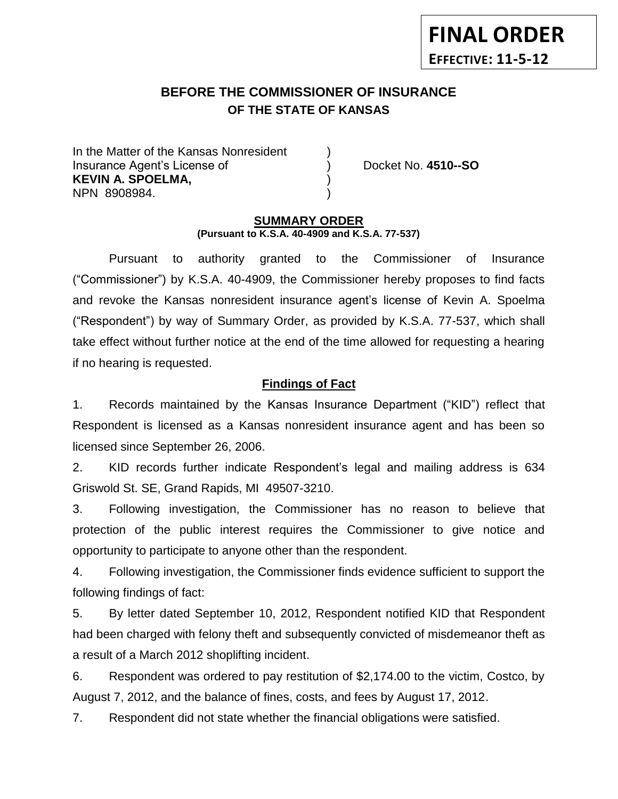# **BEFORE THE COMMISSIONER OF INSURANCE** *-12***OF THE STATE OF KANSAS**

In the Matter of the Kansas Nonresident Insurance Agent's License of ) Docket No. **4510--SO KEVIN A. SPOELMA,** ) NPN 8908984. )

**FINAL ORDER**

**EFFECTIVE: 11-5-12**

#### **SUMMARY ORDER (Pursuant to K.S.A. 40-4909 and K.S.A. 77-537)**

Pursuant to authority granted to the Commissioner of Insurance ("Commissioner") by K.S.A. 40-4909, the Commissioner hereby proposes to find facts and revoke the Kansas nonresident insurance agent's license of Kevin A. Spoelma ("Respondent") by way of Summary Order, as provided by K.S.A. 77-537, which shall take effect without further notice at the end of the time allowed for requesting a hearing if no hearing is requested.

#### **Findings of Fact**

1. Records maintained by the Kansas Insurance Department ("KID") reflect that Respondent is licensed as a Kansas nonresident insurance agent and has been so licensed since September 26, 2006.

2. KID records further indicate Respondent's legal and mailing address is 634 Griswold St. SE, Grand Rapids, MI 49507-3210.

3. Following investigation, the Commissioner has no reason to believe that protection of the public interest requires the Commissioner to give notice and opportunity to participate to anyone other than the respondent.

4. Following investigation, the Commissioner finds evidence sufficient to support the following findings of fact:

5. By letter dated September 10, 2012, Respondent notified KID that Respondent had been charged with felony theft and subsequently convicted of misdemeanor theft as a result of a March 2012 shoplifting incident.

6. Respondent was ordered to pay restitution of \$2,174.00 to the victim, Costco, by August 7, 2012, and the balance of fines, costs, and fees by August 17, 2012.

7. Respondent did not state whether the financial obligations were satisfied.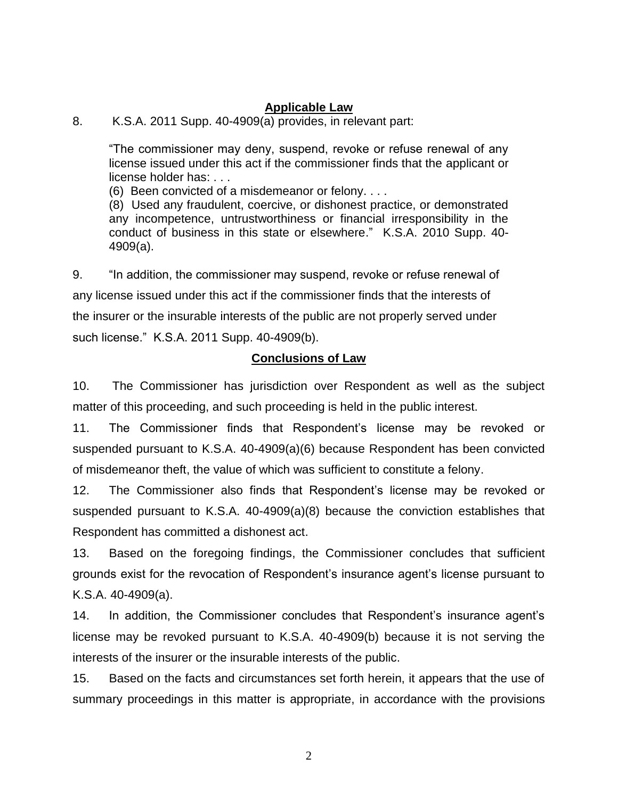### **Applicable Law**

#### 8. K.S.A. 2011 Supp. 40-4909(a) provides, in relevant part:

"The commissioner may deny, suspend, revoke or refuse renewal of any license issued under this act if the commissioner finds that the applicant or license holder has: . . .

(6) Been convicted of a misdemeanor or felony. . . .

(8) Used any fraudulent, coercive, or dishonest practice, or demonstrated any incompetence, untrustworthiness or financial irresponsibility in the conduct of business in this state or elsewhere." K.S.A. 2010 Supp. 40- 4909(a).

9. "In addition, the commissioner may suspend, revoke or refuse renewal of any license issued under this act if the commissioner finds that the interests of the insurer or the insurable interests of the public are not properly served under such license." K.S.A. 2011 Supp. 40-4909(b).

# **Conclusions of Law**

10. The Commissioner has jurisdiction over Respondent as well as the subject matter of this proceeding, and such proceeding is held in the public interest.

11. The Commissioner finds that Respondent's license may be revoked or suspended pursuant to K.S.A. 40-4909(a)(6) because Respondent has been convicted of misdemeanor theft, the value of which was sufficient to constitute a felony.

12. The Commissioner also finds that Respondent's license may be revoked or suspended pursuant to K.S.A. 40-4909(a)(8) because the conviction establishes that Respondent has committed a dishonest act.

13. Based on the foregoing findings, the Commissioner concludes that sufficient grounds exist for the revocation of Respondent's insurance agent's license pursuant to K.S.A. 40-4909(a).

14. In addition, the Commissioner concludes that Respondent's insurance agent's license may be revoked pursuant to K.S.A. 40-4909(b) because it is not serving the interests of the insurer or the insurable interests of the public.

15. Based on the facts and circumstances set forth herein, it appears that the use of summary proceedings in this matter is appropriate, in accordance with the provisions

2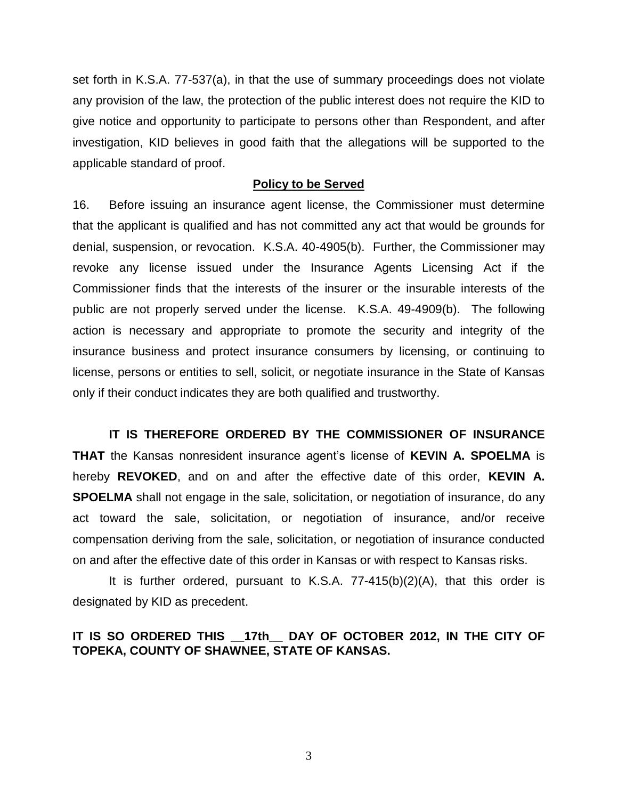set forth in K.S.A. 77-537(a), in that the use of summary proceedings does not violate any provision of the law, the protection of the public interest does not require the KID to give notice and opportunity to participate to persons other than Respondent, and after investigation, KID believes in good faith that the allegations will be supported to the applicable standard of proof.

#### **Policy to be Served**

16. Before issuing an insurance agent license, the Commissioner must determine that the applicant is qualified and has not committed any act that would be grounds for denial, suspension, or revocation. K.S.A. 40-4905(b). Further, the Commissioner may revoke any license issued under the Insurance Agents Licensing Act if the Commissioner finds that the interests of the insurer or the insurable interests of the public are not properly served under the license. K.S.A. 49-4909(b). The following action is necessary and appropriate to promote the security and integrity of the insurance business and protect insurance consumers by licensing, or continuing to license, persons or entities to sell, solicit, or negotiate insurance in the State of Kansas only if their conduct indicates they are both qualified and trustworthy.

**IT IS THEREFORE ORDERED BY THE COMMISSIONER OF INSURANCE THAT** the Kansas nonresident insurance agent's license of **KEVIN A. SPOELMA** is hereby **REVOKED**, and on and after the effective date of this order, **KEVIN A. SPOELMA** shall not engage in the sale, solicitation, or negotiation of insurance, do any act toward the sale, solicitation, or negotiation of insurance, and/or receive compensation deriving from the sale, solicitation, or negotiation of insurance conducted on and after the effective date of this order in Kansas or with respect to Kansas risks.

It is further ordered, pursuant to K.S.A. 77-415(b)(2)(A), that this order is designated by KID as precedent.

#### **IT IS SO ORDERED THIS \_\_17th\_\_ DAY OF OCTOBER 2012, IN THE CITY OF TOPEKA, COUNTY OF SHAWNEE, STATE OF KANSAS.**

3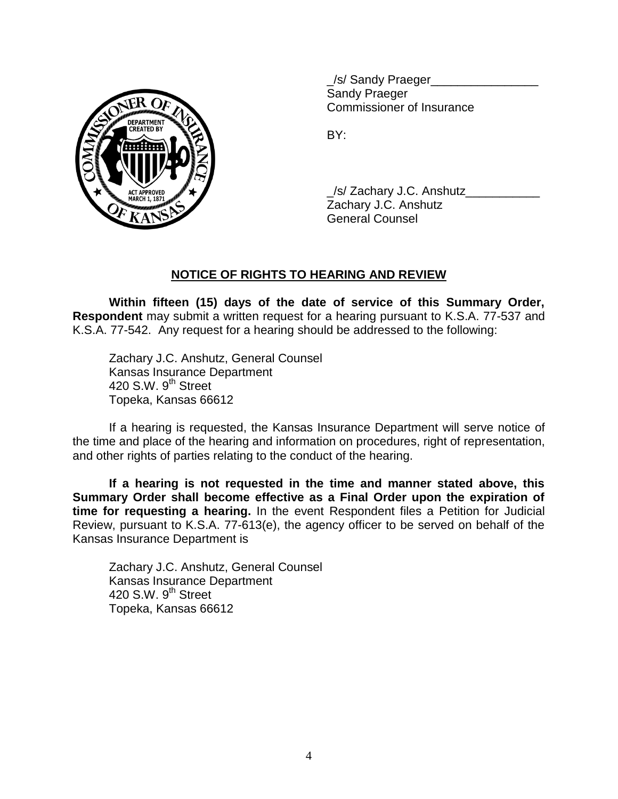

\_/s/ Sandy Praeger\_\_\_\_\_\_\_\_\_\_\_\_\_\_\_\_ Sandy Praeger Commissioner of Insurance

BY:

/s/ Zachary J.C. Anshutz Zachary J.C. Anshutz General Counsel

# **NOTICE OF RIGHTS TO HEARING AND REVIEW**

**Within fifteen (15) days of the date of service of this Summary Order, Respondent** may submit a written request for a hearing pursuant to K.S.A. 77-537 and K.S.A. 77-542. Any request for a hearing should be addressed to the following:

Zachary J.C. Anshutz, General Counsel Kansas Insurance Department 420 S.W.  $9<sup>th</sup>$  Street Topeka, Kansas 66612

If a hearing is requested, the Kansas Insurance Department will serve notice of the time and place of the hearing and information on procedures, right of representation, and other rights of parties relating to the conduct of the hearing.

**If a hearing is not requested in the time and manner stated above, this Summary Order shall become effective as a Final Order upon the expiration of time for requesting a hearing.** In the event Respondent files a Petition for Judicial Review, pursuant to K.S.A. 77-613(e), the agency officer to be served on behalf of the Kansas Insurance Department is

Zachary J.C. Anshutz, General Counsel Kansas Insurance Department 420 S.W. 9<sup>th</sup> Street Topeka, Kansas 66612